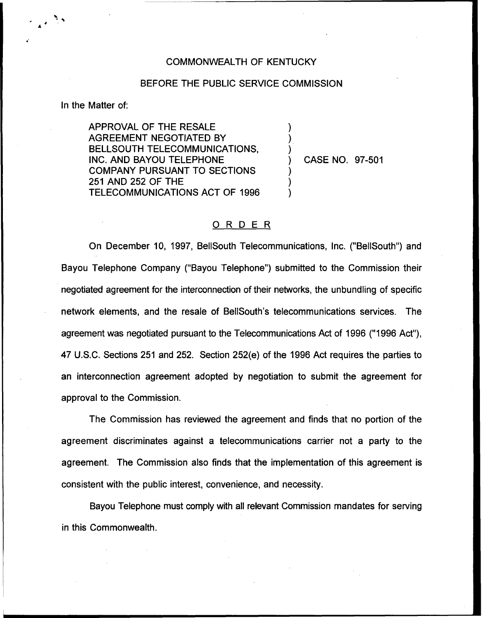## COMMONWEALTH OF KENTUCKY

## BEFORE THE PUBLIC SERVICE COMMISSION

) ) )

) ) )

In the Matter of:

APPROVAL OF THE RESALE AGREEMENT NEGOTIATED BY BELLSOUTH TELECOMMUNICATIONS, INC. AND BAYOU TELEPHONE COMPANY PURSUANT TO SECTIONS 251 AND 252 OF THE TELECOMMUNICATIONS ACT OF 1996

) CASE NO. 97-501

## 0 <sup>R</sup> <sup>D</sup> <sup>E</sup> <sup>R</sup>

On December 10, 1997, BellSouth Telecommunications, Inc. ("BellSouth") and Bayou Telephone Company ("Bayou Telephone") submitted to the Commission thei negotiated agreement for the interconnection of their networks, the unbundling of specific network elements, and the resale of BellSouth's telecommunications services. The agreement was negotiated pursuant to the Telecommunications Act of 1996 ("1996 Act"), 47 U.S.C. Sections 251 and 252. Section 252(e) of the 1996 Act requires the parties to an interconnection agreement adopted by negotiation to submit the agreement for approval to the Commission.

The Commission has reviewed the agreement and finds that no portion of the agreement discriminates against a telecommunications carrier not a party to the agreement. The Commission also finds that the implementation of this agreement is consistent with the public interest, convenience, and necessity.

Bayou Telephone must comply with all relevant Commission mandates for serving in this Commonwealth.